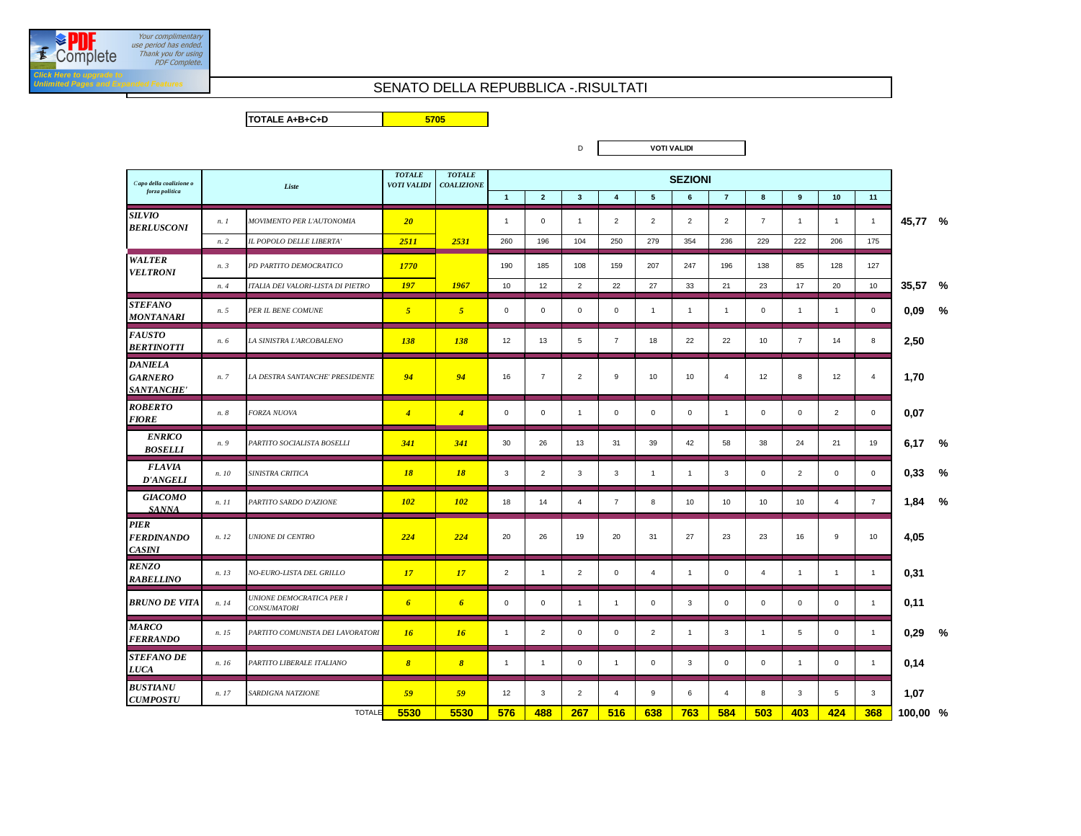## SENATO DELLA REPUBBLICA -.RISULTATI

**TOTALE A+B+C+D**

**5705**

| Capo della coalizione o                           |                       | Liste                                          |                  | <b>TOTALE</b><br><b>COALIZIONE</b> | <b>SEZIONI</b> |                |                                           |                |                 |                |                |                |                |                |                |         |      |
|---------------------------------------------------|-----------------------|------------------------------------------------|------------------|------------------------------------|----------------|----------------|-------------------------------------------|----------------|-----------------|----------------|----------------|----------------|----------------|----------------|----------------|---------|------|
| forza politica                                    |                       |                                                |                  |                                    | $\overline{1}$ | $\overline{2}$ | $\overline{\mathbf{3}}$<br>$\overline{4}$ |                | $5\overline{5}$ | $6\phantom{1}$ | $\overline{7}$ | 8              | 9              | 10             | 11             |         |      |
| <b>SILVIO</b><br><b>BERLUSCONI</b>                | n.1                   | MOVIMENTO PER L'AUTONOMIA                      | 20 <sup>2</sup>  |                                    | $\overline{1}$ | $\mathbf 0$    | $\overline{1}$                            | 2              | 2               | 2              | $\overline{2}$ | $\overline{7}$ | $\mathbf{1}$   | $\mathbf{1}$   | $\overline{1}$ | 45,77 % |      |
|                                                   | n.2                   | IL POPOLO DELLE LIBERTA'                       | 2511             | 2531                               | 260            | 196            | 104                                       | 250            | 279             | 354            | 236            | 229            | 222            | 206            | 175            |         |      |
| <b>WALTER</b><br><b>VELTRONI</b>                  | n.3                   | PD PARTITO DEMOCRATICO                         | 1770             |                                    | 190            | 185            | 108                                       | 159            | 207             | 247            | 196            | 138            | 85             | 128            | 127            |         |      |
|                                                   | n.4                   | ITALIA DEI VALORI-LISTA DI PIETRO              | <b>197</b>       | 1967                               | 10             | 12             | $\overline{2}$                            | 22             | 27              | 33             | 21             | 23             | 17             | 20             | 10             | 35,57 % |      |
| <b>STEFANO</b><br>MONTANARI                       | n. 5                  | PER IL BENE COMUNE                             | $\overline{5}$   | 5 <sup>5</sup>                     | $\mathbf 0$    | $\mathsf 0$    | $\mathbf 0$                               | $\mathbf 0$    | $\overline{1}$  | $\mathbf{1}$   | $\overline{1}$ | $\mathbf 0$    | $\overline{1}$ | $\mathbf{1}$   | $\mathbf 0$    | 0,09    | $\%$ |
| <b>FAUSTO</b><br><b>BERTINOTTI</b>                | n. 6                  | LA SINISTRA L'ARCOBALENO                       | <b>138</b>       | <b>138</b>                         | 12             | 13             | 5                                         | $\overline{7}$ | 18              | 22             | 22             | 10             | $\overline{7}$ | 14             | 8              | 2,50    |      |
| <b>DANIELA</b><br><b>GARNERO</b><br>SANTANCHE'    | n. 7                  | LA DESTRA SANTANCHE' PRESIDENTE                | 94               | 94                                 | 16             | $\overline{7}$ | $\overline{2}$                            | 9              | 10              | 10             | $\overline{4}$ | 12             | 8              | 12             | 4              | 1.70    |      |
| <b>ROBERTO</b><br><b>FIORE</b>                    | n. 8                  | FORZA NUOVA                                    | $\overline{4}$   | $\overline{4}$                     | $\mathbf 0$    | $\mathsf 0$    | $\mathbf{1}$                              | $\mathbf 0$    | $\mathbf 0$     | $\mathbf 0$    | $\overline{1}$ | $\mathbf 0$    | $\mathbf 0$    | $\overline{2}$ | $\mathsf 0$    | 0,07    |      |
| <b>ENRICO</b><br><b>BOSELLI</b>                   | n. 9                  | PARTITO SOCIALISTA BOSELLI                     | 341              | 341                                | 30             | 26             | 13                                        | 31             | 39              | 42             | 58             | 38             | 24             | 21             | 19             | 6,17    | %    |
| <b>FLAVIA</b><br>D'ANGELI                         | n. 10                 | SINISTRA CRITICA                               | 18               | <b>18</b>                          | $\mathbf{3}$   | $\overline{2}$ | 3                                         | 3              | $\overline{1}$  | $\mathbf{1}$   | 3              | $\mathbf 0$    | $\overline{2}$ | $\mathbf 0$    | $\mathbf 0$    | 0,33    | %    |
| <b>GIACOMO</b><br><b>SANNA</b>                    | $n.$ $11$             | PARTITO SARDO D'AZIONE                         | <b>102</b>       | <b>102</b>                         | 18             | 14             | $\overline{4}$                            | $\overline{7}$ | 8               | 10             | 10             | 10             | 10             | 4              | $\overline{7}$ | 1,84    | %    |
| <b>PIER</b><br><b>FERDINANDO</b><br><b>CASINI</b> | n. 12                 | <b>UNIONE DI CENTRO</b>                        | 224              | 224                                | 20             | 26             | 19                                        | 20             | 31              | 27             | 23             | 23             | 16             | 9              | 10             | 4,05    |      |
| <b>RENZO</b><br><b>RABELLINO</b>                  | n. 13                 | NO-EURO-LISTA DEL GRILLO                       | 17               | 17                                 | $\overline{2}$ | $\overline{1}$ | $\overline{2}$                            | $\mathbf{0}$   | 4               | $\mathbf{1}$   | $\mathsf 0$    | $\overline{4}$ | $\overline{1}$ | $\mathbf{1}$   | $\overline{1}$ | 0,31    |      |
| <b>BRUNO DE VITA</b>                              | n. 14                 | UNIONE DEMOCRATICA PER I<br><b>CONSUMATORI</b> | $\boldsymbol{6}$ | $\boldsymbol{6}$                   | $\mathbf 0$    | 0              | $\mathbf{1}$                              | $\overline{1}$ | 0               | 3              | $\mathbf 0$    | $\mathbf{0}$   | 0              | 0              | $\overline{1}$ | 0,11    |      |
| <b>MARCO</b><br><b>FERRANDO</b>                   | n. 15                 | PARTITO COMUNISTA DEI LAVORATORI               | 16               | 16                                 | $\mathbf{1}$   | $\overline{2}$ | $\mathbf 0$                               | $\mathbf 0$    | $\overline{2}$  | $\mathbf{1}$   | 3              | $\overline{1}$ | 5              | $\mathsf 0$    | $\overline{1}$ | 0,29    | %    |
| <b>STEFANO DE</b><br><b>LUCA</b>                  | n. 16                 | PARTITO LIBERALE ITALIANO                      | $\boldsymbol{s}$ | $\boldsymbol{8}$                   | $\mathbf{1}$   | $\mathbf{1}$   | 0                                         | $\overline{1}$ | 0               | 3              | $\mathbf 0$    | $\mathbf 0$    | $\mathbf{1}$   | 0              | $\overline{1}$ | 0.14    |      |
| <b>BUSTIANU</b><br><b>CUMPOSTU</b>                | n. 17                 | SARDIGNA NATZIONE                              | 59               | 59                                 | 12             | 3              | $\overline{2}$                            | $\overline{4}$ | 9               | 6              | $\overline{4}$ | 8              | 3              | 5              | 3              | 1,07    |      |
|                                                   | 5530<br><b>TOTALE</b> | 5530                                           | 576              | 488                                | 267            | 516            | 638                                       | 763            | 584             | 503            | 403            | 424            | 368            | 100,00 %       |                |         |      |

**VOTI VALIDI**

D



:lick He